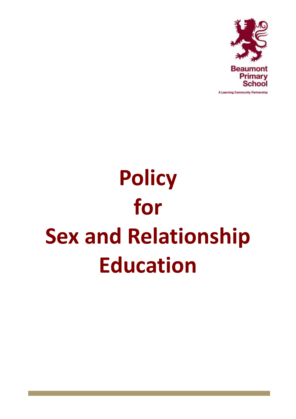

**Policy for Sex and Relationship Education**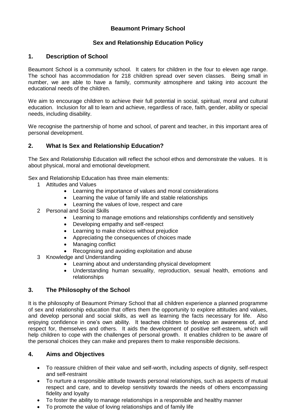# **Beaumont Primary School**

# **Sex and Relationship Education Policy**

#### **1. Description of School**

Beaumont School is a community school. It caters for children in the four to eleven age range. The school has accommodation for 218 children spread over seven classes. Being small in number, we are able to have a family, community atmosphere and taking into account the educational needs of the children.

We aim to encourage children to achieve their full potential in social, spiritual, moral and cultural education. Inclusion for all to learn and achieve, regardless of race, faith, gender, ability or special needs, including disability.

We recognise the partnership of home and school, of parent and teacher, in this important area of personal development.

## **2. What Is Sex and Relationship Education?**

The Sex and Relationship Education will reflect the school ethos and demonstrate the values. It is about physical, moral and emotional development.

Sex and Relationship Education has three main elements:

- 1 Attitudes and Values
	- Learning the importance of values and moral considerations
	- Learning the value of family life and stable relationships
	- Learning the values of love, respect and care
- 2 Personal and Social Skills
	- Learning to manage emotions and relationships confidently and sensitively
	- Developing empathy and self-respect
	- Learning to make choices without prejudice
	- Appreciating the consequences of choices made
	- Managing conflict
	- Recognising and avoiding exploitation and abuse
- 3 Knowledge and Understanding
	- Learning about and understanding physical development
	- Understanding human sexuality, reproduction, sexual health, emotions and relationships

## **3. The Philosophy of the School**

It is the philosophy of Beaumont Primary School that all children experience a planned programme of sex and relationship education that offers them the opportunity to explore attitudes and values, and develop personal and social skills, as well as learning the facts necessary for life. Also enjoying confidence in one's own ability. It teaches children to develop an awareness of, and respect for, themselves and others. It aids the development of positive self-esteem, which will help children to cope with the challenges of personal growth. It enables children to be aware of the personal choices they can make and prepares them to make responsible decisions.

#### **4. Aims and Objectives**

- To reassure children of their value and self-worth, including aspects of dignity, self-respect and self-restraint
- To nurture a responsible attitude towards personal relationships, such as aspects of mutual respect and care, and to develop sensitivity towards the needs of others encompassing fidelity and loyalty
- To foster the ability to manage relationships in a responsible and healthy manner
- To promote the value of loving relationships and of family life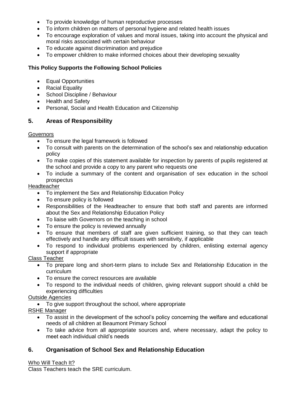- To provide knowledge of human reproductive processes
- To inform children on matters of personal hygiene and related health issues
- To encourage exploration of values and moral issues, taking into account the physical and moral risks associated with certain behaviour
- To educate against discrimination and prejudice
- To empower children to make informed choices about their developing sexuality

# **This Policy Supports the Following School Policies**

- Equal Opportunities
- Racial Equality
- School Discipline / Behaviour
- Health and Safety
- Personal, Social and Health Education and Citizenship

# **5. Areas of Responsibility**

## **Governors**

- To ensure the legal framework is followed
- To consult with parents on the determination of the school's sex and relationship education policy
- To make copies of this statement available for inspection by parents of pupils registered at the school and provide a copy to any parent who requests one
- To include a summary of the content and organisation of sex education in the school prospectus

## Headteacher

- To implement the Sex and Relationship Education Policy
- To ensure policy is followed
- Responsibilities of the Headteacher to ensure that both staff and parents are informed about the Sex and Relationship Education Policy
- To liaise with Governors on the teaching in school
- To ensure the policy is reviewed annually
- To ensure that members of staff are given sufficient training, so that they can teach effectively and handle any difficult issues with sensitivity, if applicable
- To respond to individual problems experienced by children, enlisting external agency support if appropriate

## Class Teacher

- To prepare long and short-term plans to include Sex and Relationship Education in the curriculum
- To ensure the correct resources are available
- To respond to the individual needs of children, giving relevant support should a child be experiencing difficulties

# Outside Agencies

To give support throughout the school, where appropriate

RSHE Manager

- To assist in the development of the school's policy concerning the welfare and educational needs of all children at Beaumont Primary School
- To take advice from all appropriate sources and, where necessary, adapt the policy to meet each individual child's needs

# **6. Organisation of School Sex and Relationship Education**

## Who Will Teach It?

Class Teachers teach the SRE curriculum.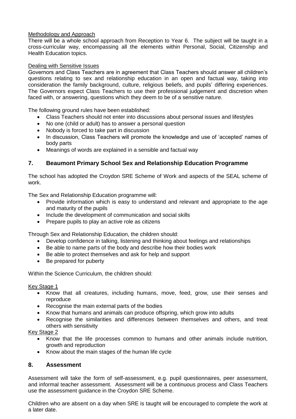#### Methodology and Approach

There will be a whole school approach from Reception to Year 6. The subject will be taught in a cross-curricular way, encompassing all the elements within Personal, Social, Citizenship and Health Education topics.

#### Dealing with Sensitive Issues

Governors and Class Teachers are in agreement that Class Teachers should answer all children's questions relating to sex and relationship education in an open and factual way, taking into consideration the family background, culture, religious beliefs, and pupils' differing experiences. The Governors expect Class Teachers to use their professional judgement and discretion when faced with, or answering, questions which they deem to be of a sensitive nature.

The following ground rules have been established:

- Class Teachers should not enter into discussions about personal issues and lifestyles
- No one (child or adult) has to answer a personal question
- Nobody is forced to take part in discussion
- In discussion, Class Teachers will promote the knowledge and use of 'accepted' names of body parts
- Meanings of words are explained in a sensible and factual way

# **7. Beaumont Primary School Sex and Relationship Education Programme**

The school has adopted the Croydon SRE Scheme of Work and aspects of the SEAL scheme of work.

The Sex and Relationship Education programme will:

- Provide information which is easy to understand and relevant and appropriate to the age and maturity of the pupils
- Include the development of communication and social skills
- Prepare pupils to play an active role as citizens

Through Sex and Relationship Education, the children should:

- Develop confidence in talking, listening and thinking about feelings and relationships
- Be able to name parts of the body and describe how their bodies work
- Be able to protect themselves and ask for help and support
- Be prepared for puberty

Within the Science Curriculum, the children should:

#### Key Stage 1

- Know that all creatures, including humans, move, feed, grow, use their senses and reproduce
- Recognise the main external parts of the bodies
- Know that humans and animals can produce offspring, which grow into adults
- Recognise the similarities and differences between themselves and others, and treat others with sensitivity

#### Key Stage 2

- Know that the life processes common to humans and other animals include nutrition, growth and reproduction
- Know about the main stages of the human life cycle

## **8. Assessment**

Assessment will take the form of self-assessment, e.g. pupil questionnaires, peer assessment, and informal teacher assessment. Assessment will be a continuous process and Class Teachers use the assessment guidance in the Croydon SRE Scheme.

Children who are absent on a day when SRE is taught will be encouraged to complete the work at a later date.